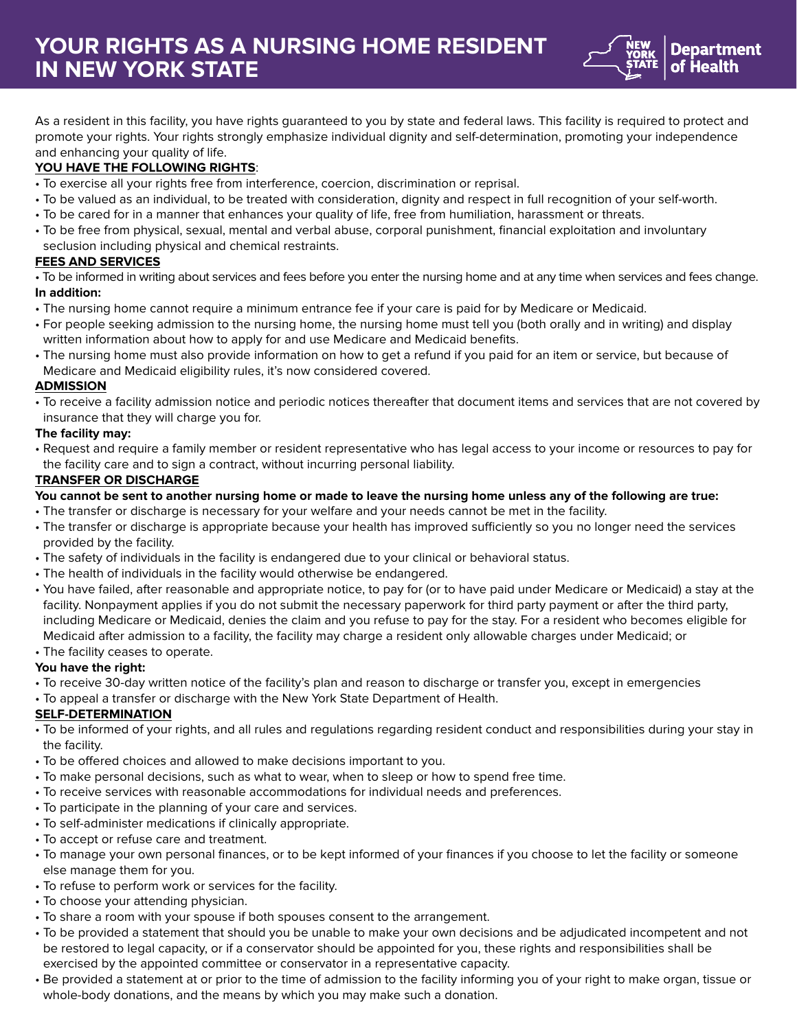

As a resident in this facility, you have rights guaranteed to you by state and federal laws. This facility is required to protect and promote your rights. Your rights strongly emphasize individual dignity and self-determination, promoting your independence and enhancing your quality of life.

# **YOU HAVE THE FOLLOWING RIGHTS**:

- To exercise all your rights free from interference, coercion, discrimination or reprisal.
- To be valued as an individual, to be treated with consideration, dignity and respect in full recognition of your self-worth.
- To be cared for in a manner that enhances your quality of life, free from humiliation, harassment or threats.
- To be free from physical, sexual, mental and verbal abuse, corporal punishment, financial exploitation and involuntary seclusion including physical and chemical restraints.

# **FEES AND SERVICES**

• To be informed in writing about services and fees before you enter the nursing home and at any time when services and fees change. **In addition:**

- The nursing home cannot require a minimum entrance fee if your care is paid for by Medicare or Medicaid.
- For people seeking admission to the nursing home, the nursing home must tell you (both orally and in writing) and display written information about how to apply for and use Medicare and Medicaid benefits.
- The nursing home must also provide information on how to get a refund if you paid for an item or service, but because of Medicare and Medicaid eligibility rules, it's now considered covered.

#### **ADMISSION**

• To receive a facility admission notice and periodic notices thereafter that document items and services that are not covered by insurance that they will charge you for.

#### **The facility may:**

• Request and require a family member or resident representative who has legal access to your income or resources to pay for the facility care and to sign a contract, without incurring personal liability.

#### **TRANSFER OR DISCHARGE**

- **You cannot be sent to another nursing home or made to leave the nursing home unless any of the following are true:**
- The transfer or discharge is necessary for your welfare and your needs cannot be met in the facility.
- The transfer or discharge is appropriate because your health has improved sufficiently so you no longer need the services provided by the facility.
- The safety of individuals in the facility is endangered due to your clinical or behavioral status.
- The health of individuals in the facility would otherwise be endangered.
- You have failed, after reasonable and appropriate notice, to pay for (or to have paid under Medicare or Medicaid) a stay at the facility. Nonpayment applies if you do not submit the necessary paperwork for third party payment or after the third party, including Medicare or Medicaid, denies the claim and you refuse to pay for the stay. For a resident who becomes eligible for Medicaid after admission to a facility, the facility may charge a resident only allowable charges under Medicaid; or
- The facility ceases to operate.

# **You have the right:**

- To receive 30-day written notice of the facility's plan and reason to discharge or transfer you, except in emergencies
- To appeal a transfer or discharge with the New York State Department of Health.

# **SELF-DETERMINATION**

- To be informed of your rights, and all rules and regulations regarding resident conduct and responsibilities during your stay in the facility.
- To be offered choices and allowed to make decisions important to you.
- To make personal decisions, such as what to wear, when to sleep or how to spend free time.
- To receive services with reasonable accommodations for individual needs and preferences.
- To participate in the planning of your care and services.
- To self-administer medications if clinically appropriate.
- To accept or refuse care and treatment.
- To manage your own personal finances, or to be kept informed of your finances if you choose to let the facility or someone else manage them for you.
- To refuse to perform work or services for the facility.
- To choose your attending physician.
- To share a room with your spouse if both spouses consent to the arrangement.
- To be provided a statement that should you be unable to make your own decisions and be adjudicated incompetent and not be restored to legal capacity, or if a conservator should be appointed for you, these rights and responsibilities shall be exercised by the appointed committee or conservator in a representative capacity.
- Be provided a statement at or prior to the time of admission to the facility informing you of your right to make organ, tissue or whole-body donations, and the means by which you may make such a donation.